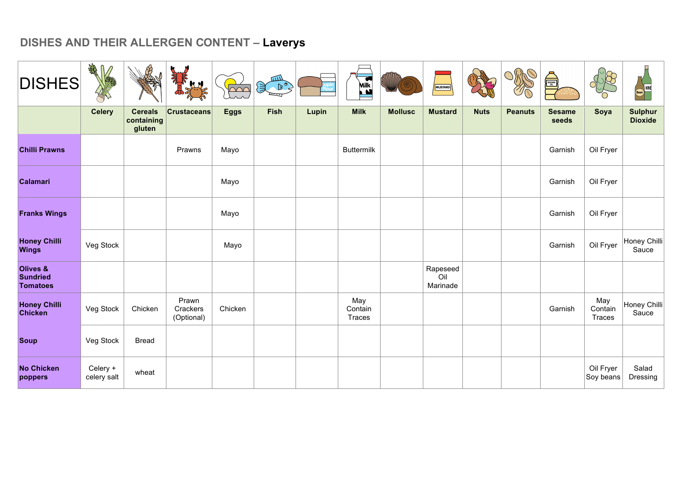| <b>DISHES</b>                                             | <b>SHAR</b>             |                                        | Apple DT<br>A.H                 | <b>DOO</b>  | $\begin{picture}(120,115) \put(0,0){\line(1,0){10}} \put(15,0){\line(1,0){10}} \put(15,0){\line(1,0){10}} \put(15,0){\line(1,0){10}} \put(15,0){\line(1,0){10}} \put(15,0){\line(1,0){10}} \put(15,0){\line(1,0){10}} \put(15,0){\line(1,0){10}} \put(15,0){\line(1,0){10}} \put(15,0){\line(1,0){10}} \put(15,0){\line(1,0){10}} \put(15,0){\line$ |       | $\overline{\bullet}$<br>Milk |                | MUSTARD                     |             |                | <b>A</b>               |                          | <b>Beer</b> WNE                  |
|-----------------------------------------------------------|-------------------------|----------------------------------------|---------------------------------|-------------|-----------------------------------------------------------------------------------------------------------------------------------------------------------------------------------------------------------------------------------------------------------------------------------------------------------------------------------------------------|-------|------------------------------|----------------|-----------------------------|-------------|----------------|------------------------|--------------------------|----------------------------------|
|                                                           | <b>Celery</b>           | <b>Cereals</b><br>containing<br>gluten | <b>Crustaceans</b>              | <b>Eggs</b> | Fish                                                                                                                                                                                                                                                                                                                                                | Lupin | <b>Milk</b>                  | <b>Mollusc</b> | <b>Mustard</b>              | <b>Nuts</b> | <b>Peanuts</b> | <b>Sesame</b><br>seeds | Soya                     | <b>Sulphur</b><br><b>Dioxide</b> |
| <b>Chilli Prawns</b>                                      |                         |                                        | Prawns                          | Mayo        |                                                                                                                                                                                                                                                                                                                                                     |       | <b>Buttermilk</b>            |                |                             |             |                | Garnish                | Oil Fryer                |                                  |
| Calamari                                                  |                         |                                        |                                 | Mayo        |                                                                                                                                                                                                                                                                                                                                                     |       |                              |                |                             |             |                | Garnish                | Oil Fryer                |                                  |
| <b>Franks Wings</b>                                       |                         |                                        |                                 | Mayo        |                                                                                                                                                                                                                                                                                                                                                     |       |                              |                |                             |             |                | Garnish                | Oil Fryer                |                                  |
| <b>Honey Chilli</b><br><b>Wings</b>                       | Veg Stock               |                                        |                                 | Mayo        |                                                                                                                                                                                                                                                                                                                                                     |       |                              |                |                             |             |                | Garnish                | Oil Fryer                | Honey Chilli<br>Sauce            |
| <b>Olives &amp;</b><br><b>Sundried</b><br><b>Tomatoes</b> |                         |                                        |                                 |             |                                                                                                                                                                                                                                                                                                                                                     |       |                              |                | Rapeseed<br>Oil<br>Marinade |             |                |                        |                          |                                  |
| <b>Honey Chilli</b><br>Chicken                            | Veg Stock               | Chicken                                | Prawn<br>Crackers<br>(Optional) | Chicken     |                                                                                                                                                                                                                                                                                                                                                     |       | May<br>Contain<br>Traces     |                |                             |             |                | Garnish                | May<br>Contain<br>Traces | Honey Chilli<br>Sauce            |
| <b>Soup</b>                                               | Veg Stock               | <b>Bread</b>                           |                                 |             |                                                                                                                                                                                                                                                                                                                                                     |       |                              |                |                             |             |                |                        |                          |                                  |
| <b>No Chicken</b><br>poppers                              | Celery +<br>celery salt | wheat                                  |                                 |             |                                                                                                                                                                                                                                                                                                                                                     |       |                              |                |                             |             |                |                        | Oil Fryer<br>Soy beans   | Salad<br>Dressing                |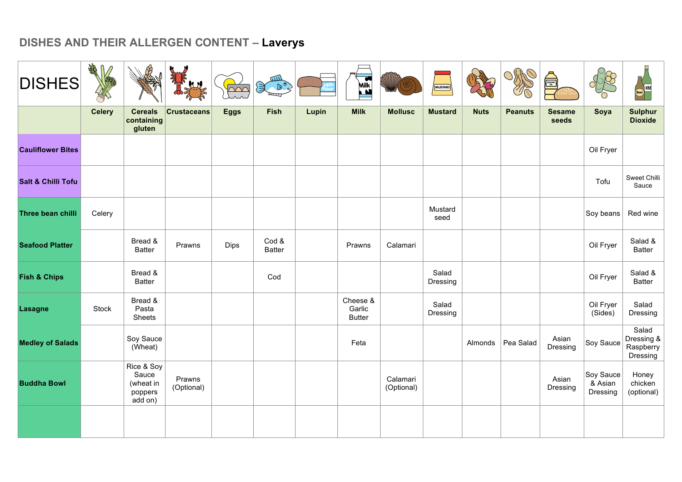| <b>DISHES</b>                 | <b>RANT</b><br>∩ |                                                        | HA                   | $\triangle \triangle C$ | ш<br>演 尾               |       | Milk                                |                        | MUSTARD           |             |                | SESAME <b>SE</b>       |                                  | ) wine<br>(Beer)                             |
|-------------------------------|------------------|--------------------------------------------------------|----------------------|-------------------------|------------------------|-------|-------------------------------------|------------------------|-------------------|-------------|----------------|------------------------|----------------------------------|----------------------------------------------|
|                               | <b>Celery</b>    | <b>Cereals</b><br>containing<br>gluten                 | <b>Crustaceans</b>   | <b>Eggs</b>             | Fish                   | Lupin | <b>Milk</b>                         | <b>Mollusc</b>         | <b>Mustard</b>    | <b>Nuts</b> | <b>Peanuts</b> | <b>Sesame</b><br>seeds | Soya                             | <b>Sulphur</b><br><b>Dioxide</b>             |
| <b>Cauliflower Bites</b>      |                  |                                                        |                      |                         |                        |       |                                     |                        |                   |             |                |                        | Oil Fryer                        |                                              |
| <b>Salt &amp; Chilli Tofu</b> |                  |                                                        |                      |                         |                        |       |                                     |                        |                   |             |                |                        | Tofu                             | Sweet Chilli<br>Sauce                        |
| Three bean chilli             | Celery           |                                                        |                      |                         |                        |       |                                     |                        | Mustard<br>seed   |             |                |                        | Soy beans                        | Red wine                                     |
| <b>Seafood Platter</b>        |                  | Bread &<br><b>Batter</b>                               | Prawns               | Dips                    | Cod &<br><b>Batter</b> |       | Prawns                              | Calamari               |                   |             |                |                        | Oil Fryer                        | Salad &<br><b>Batter</b>                     |
| <b>Fish &amp; Chips</b>       |                  | Bread &<br><b>Batter</b>                               |                      |                         | Cod                    |       |                                     |                        | Salad<br>Dressing |             |                |                        | Oil Fryer                        | Salad &<br><b>Batter</b>                     |
| <b>Lasagne</b>                | Stock            | Bread &<br>Pasta<br>Sheets                             |                      |                         |                        |       | Cheese &<br>Garlic<br><b>Butter</b> |                        | Salad<br>Dressing |             |                |                        | Oil Fryer<br>(Sides)             | Salad<br>Dressing                            |
| <b>Medley of Salads</b>       |                  | Soy Sauce<br>(Wheat)                                   |                      |                         |                        |       | Feta                                |                        |                   | Almonds     | Pea Salad      | Asian<br>Dressing      | Soy Sauce                        | Salad<br>Dressing &<br>Raspberry<br>Dressing |
| <b>Buddha Bowl</b>            |                  | Rice & Soy<br>Sauce<br>(wheat in<br>poppers<br>add on) | Prawns<br>(Optional) |                         |                        |       |                                     | Calamari<br>(Optional) |                   |             |                | Asian<br>Dressing      | Soy Sauce<br>& Asian<br>Dressing | Honey<br>chicken<br>(optional)               |
|                               |                  |                                                        |                      |                         |                        |       |                                     |                        |                   |             |                |                        |                                  |                                              |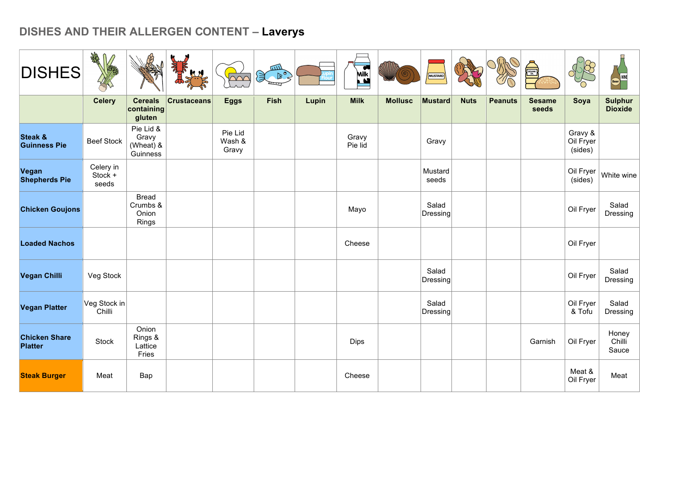| <b>DISHES</b>                          | ART                           |                                             | <b>RANGE</b>       | $\triangle$                | $\begin{picture}(120,115) \put(0,0){\line(1,0){10}} \put(15,0){\line(1,0){10}} \put(15,0){\line(1,0){10}} \put(15,0){\line(1,0){10}} \put(15,0){\line(1,0){10}} \put(15,0){\line(1,0){10}} \put(15,0){\line(1,0){10}} \put(15,0){\line(1,0){10}} \put(15,0){\line(1,0){10}} \put(15,0){\line(1,0){10}} \put(15,0){\line(1,0){10}} \put(15,0){\line$ |       | $\overline{\bullet}$<br>Milk<br>M |                | MUSTARD                  |             |                | SESAME <sub>OR</sub>   |                                 | Beer WINE                        |
|----------------------------------------|-------------------------------|---------------------------------------------|--------------------|----------------------------|-----------------------------------------------------------------------------------------------------------------------------------------------------------------------------------------------------------------------------------------------------------------------------------------------------------------------------------------------------|-------|-----------------------------------|----------------|--------------------------|-------------|----------------|------------------------|---------------------------------|----------------------------------|
|                                        | <b>Celery</b>                 | <b>Cereals</b><br>containing<br>gluten      | <b>Crustaceans</b> | <b>Eggs</b>                | <b>Fish</b>                                                                                                                                                                                                                                                                                                                                         | Lupin | <b>Milk</b>                       | <b>Mollusc</b> | <b>Mustard</b>           | <b>Nuts</b> | <b>Peanuts</b> | <b>Sesame</b><br>seeds | Soya                            | <b>Sulphur</b><br><b>Dioxide</b> |
| Steak &<br><b>Guinness Pie</b>         | <b>Beef Stock</b>             | Pie Lid &<br>Gravy<br>(Wheat) &<br>Guinness |                    | Pie Lid<br>Wash &<br>Gravy |                                                                                                                                                                                                                                                                                                                                                     |       | Gravy<br>Pie lid                  |                | Gravy                    |             |                |                        | Gravy &<br>Oil Fryer<br>(sides) |                                  |
| Vegan<br><b>Shepherds Pie</b>          | Celery in<br>Stock +<br>seeds |                                             |                    |                            |                                                                                                                                                                                                                                                                                                                                                     |       |                                   |                | Mustard<br>seeds         |             |                |                        | Oil Fryer<br>(sides)            | White wine                       |
| <b>Chicken Goujons</b>                 |                               | <b>Bread</b><br>Crumbs &<br>Onion<br>Rings  |                    |                            |                                                                                                                                                                                                                                                                                                                                                     |       | Mayo                              |                | Salad<br><b>Dressing</b> |             |                |                        | Oil Fryer                       | Salad<br>Dressing                |
| <b>Loaded Nachos</b>                   |                               |                                             |                    |                            |                                                                                                                                                                                                                                                                                                                                                     |       | Cheese                            |                |                          |             |                |                        | Oil Fryer                       |                                  |
| Vegan Chilli                           | Veg Stock                     |                                             |                    |                            |                                                                                                                                                                                                                                                                                                                                                     |       |                                   |                | Salad<br>Dressing        |             |                |                        | Oil Fryer                       | Salad<br>Dressing                |
| <b>Vegan Platter</b>                   | Veg Stock in<br>Chilli        |                                             |                    |                            |                                                                                                                                                                                                                                                                                                                                                     |       |                                   |                | Salad<br>Dressing        |             |                |                        | Oil Fryer<br>& Tofu             | Salad<br>Dressing                |
| <b>Chicken Share</b><br><b>Platter</b> | Stock                         | Onion<br>Rings &<br>Lattice<br>Fries        |                    |                            |                                                                                                                                                                                                                                                                                                                                                     |       | Dips                              |                |                          |             |                | Garnish                | Oil Fryer                       | Honey<br>Chilli<br>Sauce         |
| <b>Steak Burger</b>                    | Meat                          | Bap                                         |                    |                            |                                                                                                                                                                                                                                                                                                                                                     |       | Cheese                            |                |                          |             |                |                        | Meat &<br>Oil Fryer             | Meat                             |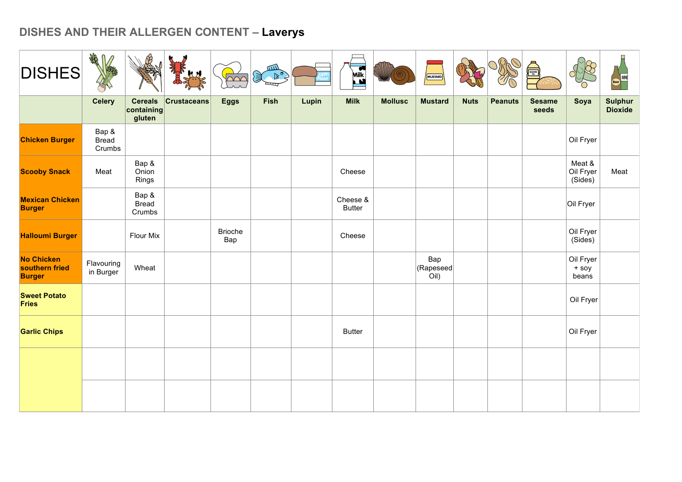| <b>DISHES</b>                                        | AR<br>$\bullet$                 |                                        |                    | $\bigcirc$            | للللا<br>$\begin{picture}(120,10) \put(0,0){\line(1,0){10}} \put(15,0){\line(1,0){10}} \put(15,0){\line(1,0){10}} \put(15,0){\line(1,0){10}} \put(15,0){\line(1,0){10}} \put(15,0){\line(1,0){10}} \put(15,0){\line(1,0){10}} \put(15,0){\line(1,0){10}} \put(15,0){\line(1,0){10}} \put(15,0){\line(1,0){10}} \put(15,0){\line(1,0){10}} \put(15,0){\line($ |       | <b>Milk</b>               |                | MUSTARD                  |             |                | SESAME<br>OIL          |                                |                                  |
|------------------------------------------------------|---------------------------------|----------------------------------------|--------------------|-----------------------|--------------------------------------------------------------------------------------------------------------------------------------------------------------------------------------------------------------------------------------------------------------------------------------------------------------------------------------------------------------|-------|---------------------------|----------------|--------------------------|-------------|----------------|------------------------|--------------------------------|----------------------------------|
|                                                      | <b>Celery</b>                   | <b>Cereals</b><br>containing<br>gluten | <b>Crustaceans</b> | <b>Eggs</b>           | Fish                                                                                                                                                                                                                                                                                                                                                         | Lupin | <b>Milk</b>               | <b>Mollusc</b> | <b>Mustard</b>           | <b>Nuts</b> | <b>Peanuts</b> | <b>Sesame</b><br>seeds | Soya                           | <b>Sulphur</b><br><b>Dioxide</b> |
| <b>Chicken Burger</b>                                | Bap &<br><b>Bread</b><br>Crumbs |                                        |                    |                       |                                                                                                                                                                                                                                                                                                                                                              |       |                           |                |                          |             |                |                        | Oil Fryer                      |                                  |
| <b>Scooby Snack</b>                                  | Meat                            | Bap &<br>Onion<br>Rings                |                    |                       |                                                                                                                                                                                                                                                                                                                                                              |       | Cheese                    |                |                          |             |                |                        | Meat &<br>Oil Fryer<br>(Sides) | Meat                             |
| <b>Mexican Chicken</b><br><b>Burger</b>              |                                 | Bap &<br><b>Bread</b><br>Crumbs        |                    |                       |                                                                                                                                                                                                                                                                                                                                                              |       | Cheese &<br><b>Butter</b> |                |                          |             |                |                        | Oil Fryer                      |                                  |
| <b>Halloumi Burger</b>                               |                                 | <b>Flour Mix</b>                       |                    | <b>Brioche</b><br>Bap |                                                                                                                                                                                                                                                                                                                                                              |       | Cheese                    |                |                          |             |                |                        | Oil Fryer<br>(Sides)           |                                  |
| <b>No Chicken</b><br>southern fried<br><b>Burger</b> | Flavouring<br>in Burger         | Wheat                                  |                    |                       |                                                                                                                                                                                                                                                                                                                                                              |       |                           |                | Bap<br>(Rapeseed<br>Oil) |             |                |                        | Oil Fryer<br>+ soy<br>beans    |                                  |
| <b>Sweet Potato</b><br><b>Fries</b>                  |                                 |                                        |                    |                       |                                                                                                                                                                                                                                                                                                                                                              |       |                           |                |                          |             |                |                        | Oil Fryer                      |                                  |
| <b>Garlic Chips</b>                                  |                                 |                                        |                    |                       |                                                                                                                                                                                                                                                                                                                                                              |       | <b>Butter</b>             |                |                          |             |                |                        | Oil Fryer                      |                                  |
|                                                      |                                 |                                        |                    |                       |                                                                                                                                                                                                                                                                                                                                                              |       |                           |                |                          |             |                |                        |                                |                                  |
|                                                      |                                 |                                        |                    |                       |                                                                                                                                                                                                                                                                                                                                                              |       |                           |                |                          |             |                |                        |                                |                                  |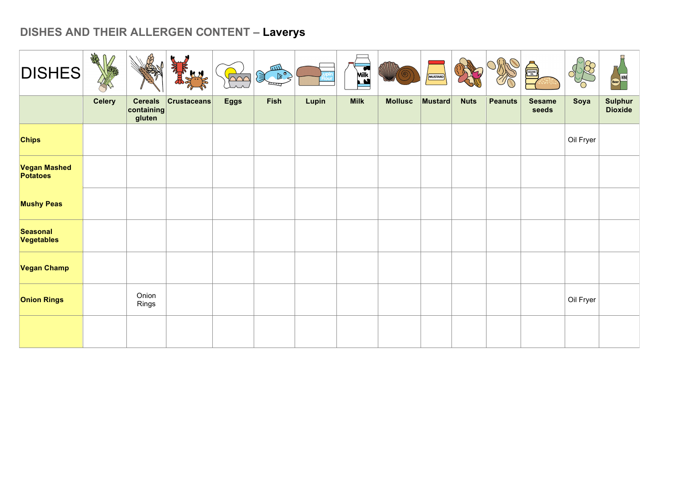| <b>DISHES</b>                   | <b>RANT</b>   |                                        |                    | $\overline{\wedge\wedge\wedge}$ | لللتكر<br>$\mathcal{F}^{\infty}$ |       | $\overline{\mathbf{C}}$<br><b>Milk</b> |                | MUSTARD |             |                | <b>A</b>               |           | Beer)                            |
|---------------------------------|---------------|----------------------------------------|--------------------|---------------------------------|----------------------------------|-------|----------------------------------------|----------------|---------|-------------|----------------|------------------------|-----------|----------------------------------|
|                                 | <b>Celery</b> | <b>Cereals</b><br>containing<br>gluten | <b>Crustaceans</b> | <b>Eggs</b>                     | Fish                             | Lupin | <b>Milk</b>                            | <b>Mollusc</b> | Mustard | <b>Nuts</b> | <b>Peanuts</b> | <b>Sesame</b><br>seeds | Soya      | <b>Sulphur</b><br><b>Dioxide</b> |
| <b>Chips</b>                    |               |                                        |                    |                                 |                                  |       |                                        |                |         |             |                |                        | Oil Fryer |                                  |
| Vegan Mashed<br><b>Potatoes</b> |               |                                        |                    |                                 |                                  |       |                                        |                |         |             |                |                        |           |                                  |
| <b>Mushy Peas</b>               |               |                                        |                    |                                 |                                  |       |                                        |                |         |             |                |                        |           |                                  |
| <b>Seasonal</b><br>Vegetables   |               |                                        |                    |                                 |                                  |       |                                        |                |         |             |                |                        |           |                                  |
| Vegan Champ                     |               |                                        |                    |                                 |                                  |       |                                        |                |         |             |                |                        |           |                                  |
| <b>Onion Rings</b>              |               | Onion<br>Rings                         |                    |                                 |                                  |       |                                        |                |         |             |                |                        | Oil Fryer |                                  |
|                                 |               |                                        |                    |                                 |                                  |       |                                        |                |         |             |                |                        |           |                                  |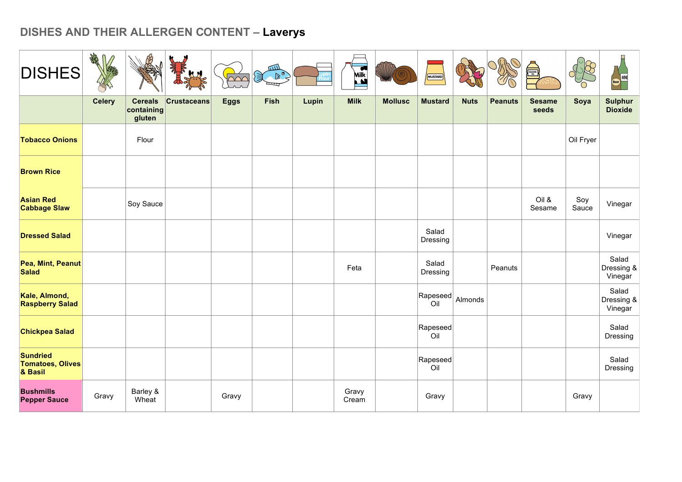| <b>DISHES</b>                                         | AR            |                                        |                    | $\triangle$ | لللتكر<br>$\mathbb{R}^{\circ}$ |       | <b>Milk</b>    |                | MUSTARD           |             |                |                        |              | WINE<br>Beer                     |
|-------------------------------------------------------|---------------|----------------------------------------|--------------------|-------------|--------------------------------|-------|----------------|----------------|-------------------|-------------|----------------|------------------------|--------------|----------------------------------|
|                                                       | <b>Celery</b> | <b>Cereals</b><br>containing<br>gluten | <b>Crustaceans</b> | <b>Eggs</b> | <b>Fish</b>                    | Lupin | <b>Milk</b>    | <b>Mollusc</b> | <b>Mustard</b>    | <b>Nuts</b> | <b>Peanuts</b> | <b>Sesame</b><br>seeds | Soya         | <b>Sulphur</b><br><b>Dioxide</b> |
| <b>Tobacco Onions</b>                                 |               | Flour                                  |                    |             |                                |       |                |                |                   |             |                |                        | Oil Fryer    |                                  |
| <b>Brown Rice</b>                                     |               |                                        |                    |             |                                |       |                |                |                   |             |                |                        |              |                                  |
| <b>Asian Red</b><br><b>Cabbage Slaw</b>               |               | Soy Sauce                              |                    |             |                                |       |                |                |                   |             |                | Oil &<br>Sesame        | Soy<br>Sauce | Vinegar                          |
| <b>Dressed Salad</b>                                  |               |                                        |                    |             |                                |       |                |                | Salad<br>Dressing |             |                |                        |              | Vinegar                          |
| Pea, Mint, Peanut<br><b>Salad</b>                     |               |                                        |                    |             |                                |       | Feta           |                | Salad<br>Dressing |             | Peanuts        |                        |              | Salad<br>Dressing &<br>Vinegar   |
| Kale, Almond,<br><b>Raspberry Salad</b>               |               |                                        |                    |             |                                |       |                |                | Rapeseed<br>Oil   | Almonds     |                |                        |              | Salad<br>Dressing &<br>Vinegar   |
| <b>Chickpea Salad</b>                                 |               |                                        |                    |             |                                |       |                |                | Rapeseed<br>Oil   |             |                |                        |              | Salad<br>Dressing                |
| <b>Sundried</b><br><b>Tomatoes, Olives</b><br>& Basil |               |                                        |                    |             |                                |       |                |                | Rapeseed<br>Oil   |             |                |                        |              | Salad<br>Dressing                |
| <b>Bushmills</b><br><b>Pepper Sauce</b>               | Gravy         | Barley &<br>Wheat                      |                    | Gravy       |                                |       | Gravy<br>Cream |                | Gravy             |             |                |                        | Gravy        |                                  |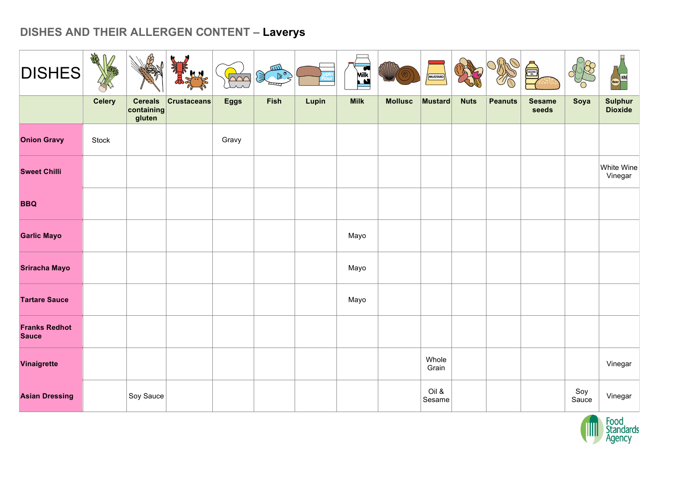| <b>DISHES</b>                        | <b>RAN</b>    |                                        | Ń                  | $\sqrt{200}$ | $\frac{1}{\sqrt{\left(\frac{1}{\sqrt{2}}\right)^{3}}}\left(\frac{1}{\sqrt{2}}\right)^{3/2}$ |       | $\overline{M}$<br>Ľ |                | MUSTARD         |             |                |                        |              | <b>WINE</b>                      |
|--------------------------------------|---------------|----------------------------------------|--------------------|--------------|---------------------------------------------------------------------------------------------|-------|---------------------|----------------|-----------------|-------------|----------------|------------------------|--------------|----------------------------------|
|                                      | <b>Celery</b> | <b>Cereals</b><br>containing<br>gluten | <b>Crustaceans</b> | <b>Eggs</b>  | Fish                                                                                        | Lupin | <b>Milk</b>         | <b>Mollusc</b> | Mustard         | <b>Nuts</b> | <b>Peanuts</b> | <b>Sesame</b><br>seeds | Soya         | <b>Sulphur</b><br><b>Dioxide</b> |
| <b>Onion Gravy</b>                   | Stock         |                                        |                    | Gravy        |                                                                                             |       |                     |                |                 |             |                |                        |              |                                  |
| <b>Sweet Chilli</b>                  |               |                                        |                    |              |                                                                                             |       |                     |                |                 |             |                |                        |              | White Wine<br>Vinegar            |
| <b>BBQ</b>                           |               |                                        |                    |              |                                                                                             |       |                     |                |                 |             |                |                        |              |                                  |
| <b>Garlic Mayo</b>                   |               |                                        |                    |              |                                                                                             |       | Mayo                |                |                 |             |                |                        |              |                                  |
| <b>Sriracha Mayo</b>                 |               |                                        |                    |              |                                                                                             |       | Mayo                |                |                 |             |                |                        |              |                                  |
| <b>Tartare Sauce</b>                 |               |                                        |                    |              |                                                                                             |       | Mayo                |                |                 |             |                |                        |              |                                  |
| <b>Franks Redhot</b><br><b>Sauce</b> |               |                                        |                    |              |                                                                                             |       |                     |                |                 |             |                |                        |              |                                  |
| Vinaigrette                          |               |                                        |                    |              |                                                                                             |       |                     |                | Whole<br>Grain  |             |                |                        |              | Vinegar                          |
| <b>Asian Dressing</b>                |               | Soy Sauce                              |                    |              |                                                                                             |       |                     |                | Oil &<br>Sesame |             |                |                        | Soy<br>Sauce | Vinegar                          |